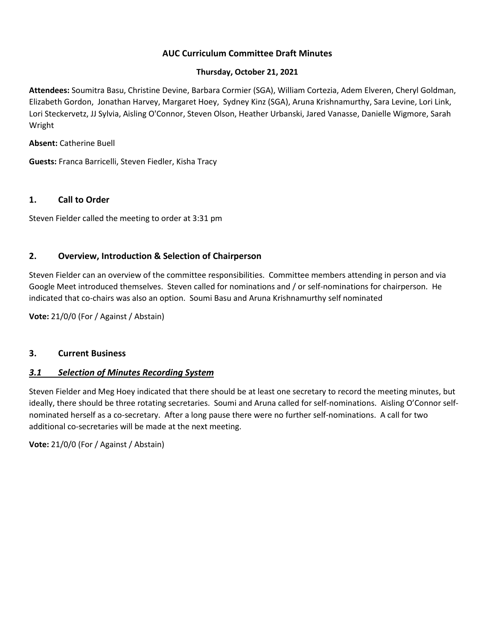# **AUC Curriculum Committee Draft Minutes**

### **Thursday, October 21, 2021**

**Attendees:** Soumitra Basu, Christine Devine, Barbara Cormier (SGA), William Cortezia, Adem Elveren, Cheryl Goldman, Elizabeth Gordon, Jonathan Harvey, Margaret Hoey, Sydney Kinz (SGA), Aruna Krishnamurthy, Sara Levine, Lori Link, Lori Steckervetz, JJ Sylvia, Aisling O'Connor, Steven Olson, Heather Urbanski, Jared Vanasse, Danielle Wigmore, Sarah Wright

### **Absent:** Catherine Buell

**Guests:** Franca Barricelli, Steven Fiedler, Kisha Tracy

### **1. Call to Order**

Steven Fielder called the meeting to order at 3:31 pm

### **2. Overview, Introduction & Selection of Chairperson**

Steven Fielder can an overview of the committee responsibilities. Committee members attending in person and via Google Meet introduced themselves. Steven called for nominations and / or self-nominations for chairperson. He indicated that co-chairs was also an option. Soumi Basu and Aruna Krishnamurthy self nominated

**Vote:** 21/0/0 (For / Against / Abstain)

#### **3. Current Business**

### *3.1 Selection of Minutes Recording System*

Steven Fielder and Meg Hoey indicated that there should be at least one secretary to record the meeting minutes, but ideally, there should be three rotating secretaries. Soumi and Aruna called for self-nominations. Aisling O'Connor selfnominated herself as a co-secretary. After a long pause there were no further self-nominations. A call for two additional co-secretaries will be made at the next meeting.

**Vote:** 21/0/0 (For / Against / Abstain)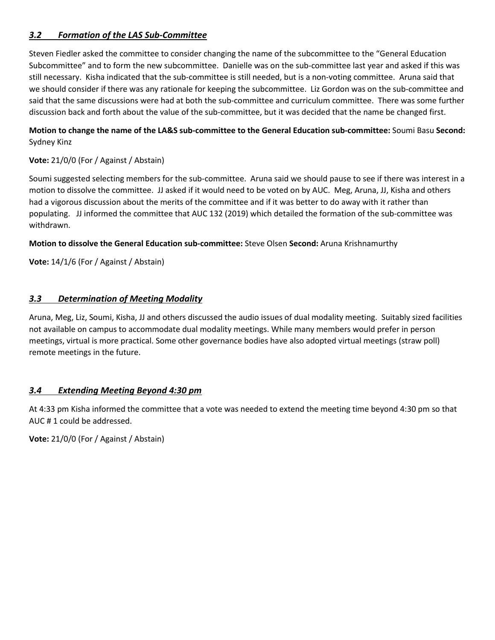# *3.2 Formation of the LAS Sub-Committee*

Steven Fiedler asked the committee to consider changing the name of the subcommittee to the "General Education Subcommittee" and to form the new subcommittee. Danielle was on the sub-committee last year and asked if this was still necessary. Kisha indicated that the sub-committee is still needed, but is a non-voting committee. Aruna said that we should consider if there was any rationale for keeping the subcommittee. Liz Gordon was on the sub-committee and said that the same discussions were had at both the sub-committee and curriculum committee. There was some further discussion back and forth about the value of the sub-committee, but it was decided that the name be changed first.

## **Motion to change the name of the LA&S sub-committee to the General Education sub-committee:** Soumi Basu **Second:** Sydney Kinz

# **Vote:** 21/0/0 (For / Against / Abstain)

Soumi suggested selecting members for the sub-committee. Aruna said we should pause to see if there was interest in a motion to dissolve the committee. JJ asked if it would need to be voted on by AUC. Meg, Aruna, JJ, Kisha and others had a vigorous discussion about the merits of the committee and if it was better to do away with it rather than populating. JJ informed the committee that AUC 132 (2019) which detailed the formation of the sub-committee was withdrawn.

### **Motion to dissolve the General Education sub-committee:** Steve Olsen **Second:** Aruna Krishnamurthy

**Vote:** 14/1/6 (For / Against / Abstain)

### *3.3 Determination of Meeting Modality*

Aruna, Meg, Liz, Soumi, Kisha, JJ and others discussed the audio issues of dual modality meeting. Suitably sized facilities not available on campus to accommodate dual modality meetings. While many members would prefer in person meetings, virtual is more practical. Some other governance bodies have also adopted virtual meetings (straw poll) remote meetings in the future.

# *3.4 Extending Meeting Beyond 4:30 pm*

At 4:33 pm Kisha informed the committee that a vote was needed to extend the meeting time beyond 4:30 pm so that AUC # 1 could be addressed.

**Vote:** 21/0/0 (For / Against / Abstain)